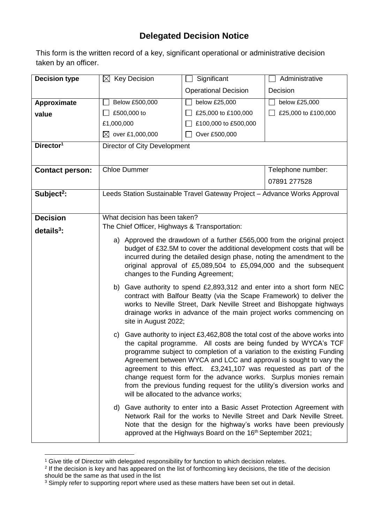## **Delegated Decision Notice**

This form is the written record of a key, significant operational or administrative decision taken by an officer.

| <b>Decision type</b>   | $\boxtimes$ Key Decision                                                                                                              | Significant                                                                                                                               | Administrative      |  |
|------------------------|---------------------------------------------------------------------------------------------------------------------------------------|-------------------------------------------------------------------------------------------------------------------------------------------|---------------------|--|
|                        |                                                                                                                                       | <b>Operational Decision</b>                                                                                                               | Decision            |  |
| Approximate            | Below £500,000                                                                                                                        | below £25,000                                                                                                                             | below £25,000       |  |
| value                  | £500,000 to                                                                                                                           | £25,000 to £100,000                                                                                                                       | £25,000 to £100,000 |  |
|                        | £1,000,000                                                                                                                            | £100,000 to £500,000                                                                                                                      |                     |  |
|                        | $\boxtimes$ over £1,000,000                                                                                                           | Over £500,000                                                                                                                             |                     |  |
| Director <sup>1</sup>  | Director of City Development                                                                                                          |                                                                                                                                           |                     |  |
|                        |                                                                                                                                       |                                                                                                                                           |                     |  |
| <b>Contact person:</b> | <b>Chloe Dummer</b>                                                                                                                   |                                                                                                                                           |                     |  |
|                        |                                                                                                                                       |                                                                                                                                           | 07891 277528        |  |
| Subject <sup>2</sup> : | Leeds Station Sustainable Travel Gateway Project - Advance Works Approval                                                             |                                                                                                                                           |                     |  |
|                        |                                                                                                                                       |                                                                                                                                           |                     |  |
| <b>Decision</b>        | What decision has been taken?                                                                                                         |                                                                                                                                           |                     |  |
| $details3$ :           | The Chief Officer, Highways & Transportation:                                                                                         |                                                                                                                                           |                     |  |
|                        |                                                                                                                                       | a) Approved the drawdown of a further £565,000 from the original project                                                                  |                     |  |
|                        |                                                                                                                                       | budget of £32.5M to cover the additional development costs that will be                                                                   |                     |  |
|                        |                                                                                                                                       | incurred during the detailed design phase, noting the amendment to the                                                                    |                     |  |
|                        | changes to the Funding Agreement;                                                                                                     | original approval of £5,089,504 to £5,094,000 and the subsequent                                                                          |                     |  |
|                        |                                                                                                                                       | b) Gave authority to spend £2,893,312 and enter into a short form NEC                                                                     |                     |  |
|                        |                                                                                                                                       | contract with Balfour Beatty (via the Scape Framework) to deliver the                                                                     |                     |  |
|                        |                                                                                                                                       | works to Neville Street, Dark Neville Street and Bishopgate highways                                                                      |                     |  |
|                        |                                                                                                                                       | drainage works in advance of the main project works commencing on                                                                         |                     |  |
|                        | site in August 2022;                                                                                                                  |                                                                                                                                           |                     |  |
|                        | c) Gave authority to inject £3,462,808 the total cost of the above works into                                                         |                                                                                                                                           |                     |  |
|                        |                                                                                                                                       | the capital programme. All costs are being funded by WYCA's TCF<br>programme subject to completion of a variation to the existing Funding |                     |  |
|                        | Agreement between WYCA and LCC and approval is sought to vary the                                                                     |                                                                                                                                           |                     |  |
|                        | agreement to this effect. £3,241,107 was requested as part of the<br>change request form for the advance works. Surplus monies remain |                                                                                                                                           |                     |  |
|                        |                                                                                                                                       |                                                                                                                                           |                     |  |
|                        |                                                                                                                                       | from the previous funding request for the utility's diversion works and<br>will be allocated to the advance works;                        |                     |  |
|                        | d) Gave authority to enter into a Basic Asset Protection Agreement with                                                               |                                                                                                                                           |                     |  |
|                        |                                                                                                                                       | Network Rail for the works to Neville Street and Dark Neville Street.                                                                     |                     |  |
|                        |                                                                                                                                       | Note that the design for the highway's works have been previously<br>approved at the Highways Board on the 16th September 2021;           |                     |  |
|                        |                                                                                                                                       |                                                                                                                                           |                     |  |

1

<sup>&</sup>lt;sup>1</sup> Give title of Director with delegated responsibility for function to which decision relates.

<sup>&</sup>lt;sup>2</sup> If the decision is key and has appeared on the list of forthcoming key decisions, the title of the decision should be the same as that used in the list

 $3$  Simply refer to supporting report where used as these matters have been set out in detail.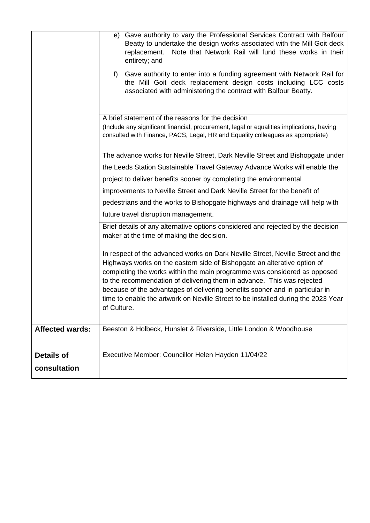|                        | e) Gave authority to vary the Professional Services Contract with Balfour<br>Beatty to undertake the design works associated with the Mill Goit deck<br>Note that Network Rail will fund these works in their<br>replacement.<br>entirety; and<br>Gave authority to enter into a funding agreement with Network Rail for<br>$f$ )<br>the Mill Goit deck replacement design costs including LCC costs<br>associated with administering the contract with Balfour Beatty.                               |  |  |
|------------------------|-------------------------------------------------------------------------------------------------------------------------------------------------------------------------------------------------------------------------------------------------------------------------------------------------------------------------------------------------------------------------------------------------------------------------------------------------------------------------------------------------------|--|--|
|                        | A brief statement of the reasons for the decision<br>(Include any significant financial, procurement, legal or equalities implications, having<br>consulted with Finance, PACS, Legal, HR and Equality colleagues as appropriate)                                                                                                                                                                                                                                                                     |  |  |
|                        | The advance works for Neville Street, Dark Neville Street and Bishopgate under                                                                                                                                                                                                                                                                                                                                                                                                                        |  |  |
|                        | the Leeds Station Sustainable Travel Gateway Advance Works will enable the                                                                                                                                                                                                                                                                                                                                                                                                                            |  |  |
|                        | project to deliver benefits sooner by completing the environmental                                                                                                                                                                                                                                                                                                                                                                                                                                    |  |  |
|                        | improvements to Neville Street and Dark Neville Street for the benefit of                                                                                                                                                                                                                                                                                                                                                                                                                             |  |  |
|                        | pedestrians and the works to Bishopgate highways and drainage will help with                                                                                                                                                                                                                                                                                                                                                                                                                          |  |  |
|                        | future travel disruption management.                                                                                                                                                                                                                                                                                                                                                                                                                                                                  |  |  |
|                        | Brief details of any alternative options considered and rejected by the decision<br>maker at the time of making the decision.                                                                                                                                                                                                                                                                                                                                                                         |  |  |
|                        | In respect of the advanced works on Dark Neville Street, Neville Street and the<br>Highways works on the eastern side of Bishopgate an alterative option of<br>completing the works within the main programme was considered as opposed<br>to the recommendation of delivering them in advance. This was rejected<br>because of the advantages of delivering benefits sooner and in particular in<br>time to enable the artwork on Neville Street to be installed during the 2023 Year<br>of Culture. |  |  |
| <b>Affected wards:</b> | Beeston & Holbeck, Hunslet & Riverside, Little London & Woodhouse                                                                                                                                                                                                                                                                                                                                                                                                                                     |  |  |
| <b>Details of</b>      | Executive Member: Councillor Helen Hayden 11/04/22                                                                                                                                                                                                                                                                                                                                                                                                                                                    |  |  |
| consultation           |                                                                                                                                                                                                                                                                                                                                                                                                                                                                                                       |  |  |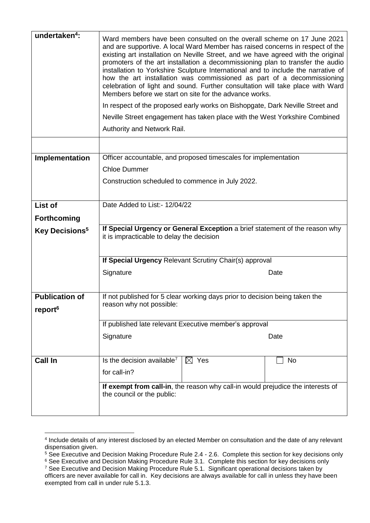| undertaken <sup>4</sup> :        | Ward members have been consulted on the overall scheme on 17 June 2021<br>and are supportive. A local Ward Member has raised concerns in respect of the<br>existing art installation on Neville Street, and we have agreed with the original<br>promoters of the art installation a decommissioning plan to transfer the audio<br>installation to Yorkshire Sculpture International and to include the narrative of<br>how the art installation was commissioned as part of a decommissioning<br>celebration of light and sound. Further consultation will take place with Ward<br>Members before we start on site for the advance works.<br>In respect of the proposed early works on Bishopgate, Dark Neville Street and<br>Neville Street engagement has taken place with the West Yorkshire Combined<br>Authority and Network Rail. |  |  |
|----------------------------------|-----------------------------------------------------------------------------------------------------------------------------------------------------------------------------------------------------------------------------------------------------------------------------------------------------------------------------------------------------------------------------------------------------------------------------------------------------------------------------------------------------------------------------------------------------------------------------------------------------------------------------------------------------------------------------------------------------------------------------------------------------------------------------------------------------------------------------------------|--|--|
|                                  |                                                                                                                                                                                                                                                                                                                                                                                                                                                                                                                                                                                                                                                                                                                                                                                                                                         |  |  |
| Implementation                   | Officer accountable, and proposed timescales for implementation                                                                                                                                                                                                                                                                                                                                                                                                                                                                                                                                                                                                                                                                                                                                                                         |  |  |
|                                  | <b>Chloe Dummer</b>                                                                                                                                                                                                                                                                                                                                                                                                                                                                                                                                                                                                                                                                                                                                                                                                                     |  |  |
|                                  | Construction scheduled to commence in July 2022.                                                                                                                                                                                                                                                                                                                                                                                                                                                                                                                                                                                                                                                                                                                                                                                        |  |  |
| List of                          | Date Added to List:- 12/04/22                                                                                                                                                                                                                                                                                                                                                                                                                                                                                                                                                                                                                                                                                                                                                                                                           |  |  |
| <b>Forthcoming</b>               |                                                                                                                                                                                                                                                                                                                                                                                                                                                                                                                                                                                                                                                                                                                                                                                                                                         |  |  |
| <b>Key Decisions<sup>5</sup></b> | If Special Urgency or General Exception a brief statement of the reason why<br>it is impracticable to delay the decision                                                                                                                                                                                                                                                                                                                                                                                                                                                                                                                                                                                                                                                                                                                |  |  |
|                                  | If Special Urgency Relevant Scrutiny Chair(s) approval                                                                                                                                                                                                                                                                                                                                                                                                                                                                                                                                                                                                                                                                                                                                                                                  |  |  |
|                                  | Signature<br>Date                                                                                                                                                                                                                                                                                                                                                                                                                                                                                                                                                                                                                                                                                                                                                                                                                       |  |  |
| <b>Publication of</b>            |                                                                                                                                                                                                                                                                                                                                                                                                                                                                                                                                                                                                                                                                                                                                                                                                                                         |  |  |
| report <sup>6</sup>              | If not published for 5 clear working days prior to decision being taken the<br>reason why not possible:                                                                                                                                                                                                                                                                                                                                                                                                                                                                                                                                                                                                                                                                                                                                 |  |  |
|                                  | If published late relevant Executive member's approval                                                                                                                                                                                                                                                                                                                                                                                                                                                                                                                                                                                                                                                                                                                                                                                  |  |  |
|                                  | Signature<br>Date                                                                                                                                                                                                                                                                                                                                                                                                                                                                                                                                                                                                                                                                                                                                                                                                                       |  |  |
| <b>Call In</b>                   | Is the decision available <sup>7</sup><br>$\boxtimes$ Yes<br>No                                                                                                                                                                                                                                                                                                                                                                                                                                                                                                                                                                                                                                                                                                                                                                         |  |  |
|                                  | for call-in?                                                                                                                                                                                                                                                                                                                                                                                                                                                                                                                                                                                                                                                                                                                                                                                                                            |  |  |
|                                  | If exempt from call-in, the reason why call-in would prejudice the interests of<br>the council or the public:                                                                                                                                                                                                                                                                                                                                                                                                                                                                                                                                                                                                                                                                                                                           |  |  |

<sup>4</sup> Include details of any interest disclosed by an elected Member on consultation and the date of any relevant dispensation given.

1

<sup>&</sup>lt;sup>5</sup> See Executive and Decision Making Procedure Rule 2.4 - 2.6. Complete this section for key decisions only

 $6$  See Executive and Decision Making Procedure Rule 3.1. Complete this section for key decisions only

<sup>&</sup>lt;sup>7</sup> See Executive and Decision Making Procedure Rule 5.1. Significant operational decisions taken by officers are never available for call in. Key decisions are always available for call in unless they have been exempted from call in under rule 5.1.3.